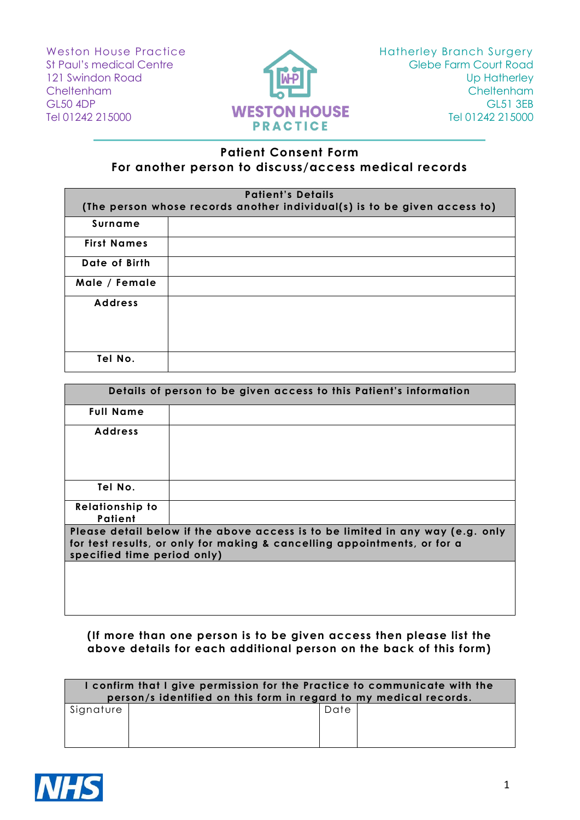Weston House Practice St Paul's medical Centre 121 Swindon Road **Cheltenham** GL50 4DP Tel 01242 215000



## **Patient Consent Form For another person to discuss/access medical records**

| <b>Patient's Details</b><br>(The person whose records another individual(s) is to be given access to) |  |  |
|-------------------------------------------------------------------------------------------------------|--|--|
| Surname                                                                                               |  |  |
| <b>First Names</b>                                                                                    |  |  |
| Date of Birth                                                                                         |  |  |
| Male / Female                                                                                         |  |  |
| <b>Address</b>                                                                                        |  |  |
| Tel No.                                                                                               |  |  |

| Details of person to be given access to this Patient's information                                                                                                                        |  |  |
|-------------------------------------------------------------------------------------------------------------------------------------------------------------------------------------------|--|--|
| <b>Full Name</b>                                                                                                                                                                          |  |  |
| <b>Address</b>                                                                                                                                                                            |  |  |
| Tel No.                                                                                                                                                                                   |  |  |
| <b>Relationship to</b><br>Patient                                                                                                                                                         |  |  |
| Please detail below if the above access is to be limited in any way (e.g. only<br>for test results, or only for making & cancelling appointments, or for a<br>specified time period only) |  |  |
|                                                                                                                                                                                           |  |  |

## **(If more than one person is to be given access then please list the above details for each additional person on the back of this form)**

| I confirm that I give permission for the Practice to communicate with the<br>person/s identified on this form in regard to my medical records. |  |      |  |  |
|------------------------------------------------------------------------------------------------------------------------------------------------|--|------|--|--|
| Signature                                                                                                                                      |  | Date |  |  |
|                                                                                                                                                |  |      |  |  |
|                                                                                                                                                |  |      |  |  |